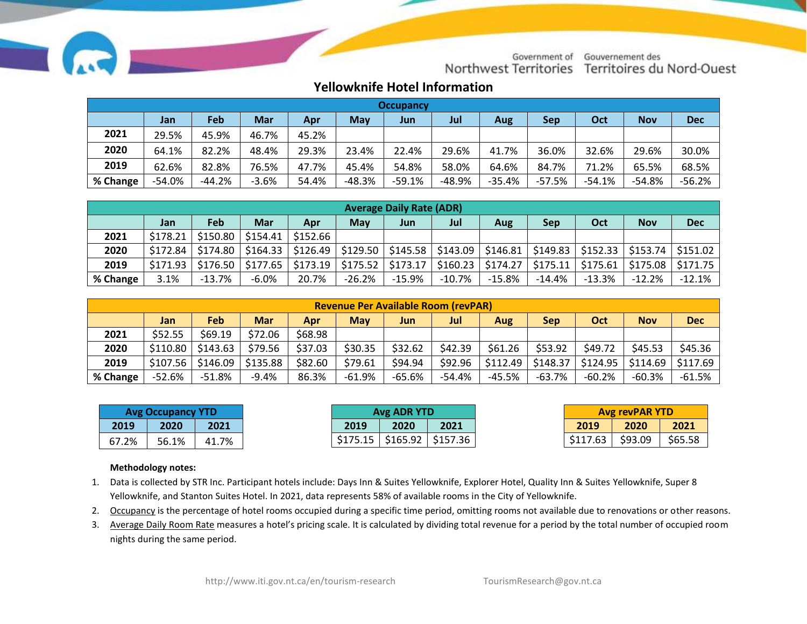

Government of Gouvernement des Northwest Territories Territoires du Nord-Ouest

## **Yellowknife Hotel Information**

| <b>Occupancy</b> |          |          |            |       |            |          |          |          |          |           |            |            |
|------------------|----------|----------|------------|-------|------------|----------|----------|----------|----------|-----------|------------|------------|
|                  | Jan      | Feb      | <b>Mar</b> | Apr   | <b>May</b> | Jun      | Jul      | Aug      | Sep      | Oct       | <b>Nov</b> | <b>Dec</b> |
| 2021             | 29.5%    | 45.9%    | 46.7%      | 45.2% |            |          |          |          |          |           |            |            |
| 2020             | 64.1%    | 82.2%    | 48.4%      | 29.3% | 23.4%      | 22.4%    | 29.6%    | 41.7%    | 36.0%    | 32.6%     | 29.6%      | 30.0%      |
| 2019             | 62.6%    | 82.8%    | 76.5%      | 47.7% | 45.4%      | 54.8%    | 58.0%    | 64.6%    | 84.7%    | 71.2%     | 65.5%      | 68.5%      |
| % Change         | $-54.0%$ | $-44.2%$ | $-3.6%$    | 54.4% | -48.3%     | $-59.1%$ | $-48.9%$ | $-35.4%$ | $-57.5%$ | $-54.1\%$ | -54.8%     | $-56.2%$   |

| <b>Average Daily Rate (ADR)</b> |          |           |            |          |                         |          |          |          |            |          |            |                                                                                                                                                                  |
|---------------------------------|----------|-----------|------------|----------|-------------------------|----------|----------|----------|------------|----------|------------|------------------------------------------------------------------------------------------------------------------------------------------------------------------|
|                                 | Jan      | Feb       | <b>Mar</b> | Apr      | <b>May</b>              | Jun      | Jul      | Aug      | <b>Sep</b> | Oct      | <b>Nov</b> | <b>Dec</b>                                                                                                                                                       |
| 2021                            | \$178.21 | \$150.80  | \$154.41   | \$152.66 |                         |          |          |          |            |          |            |                                                                                                                                                                  |
| 2020                            | \$172.84 | S174.80   | \$164.33   |          | $$126.49$ $$129.50$ $ $ |          |          |          |            |          |            | $\frac{1}{2}$ \$145.58 $\frac{1}{2}$ \$143.09 $\frac{1}{2}$ \$146.81 $\frac{1}{2}$ \$149.83 $\frac{1}{2}$ \$152.33 $\frac{1}{2}$ \$153.74 $\frac{1}{2}$ \$151.02 |
| 2019                            | \$171.93 | \$176.50  | \$177.65   | \$173.19 | \$175.52                | \$173.17 | \$160.23 | \$174.27 | \$175.11   | \$175.61 |            | $$175.08$   \$171.75                                                                                                                                             |
| % Change                        | 3.1%     | $-13.7\%$ | $-6.0%$    | 20.7%    | $-26.2%$                | $-15.9%$ | $-10.7%$ | $-15.8%$ | -14.4%     | $-13.3%$ | $-12.2%$   | $-12.1%$                                                                                                                                                         |

| <b>Revenue Per Available Room (revPAR)</b> |                                                                                                                     |                      |          |         |          |         |         |          |          |           |         |                     |
|--------------------------------------------|---------------------------------------------------------------------------------------------------------------------|----------------------|----------|---------|----------|---------|---------|----------|----------|-----------|---------|---------------------|
|                                            | <b>Mar</b><br>Jul<br>Oct<br><b>Nov</b><br><b>May</b><br>Feb<br><b>Dec</b><br><b>Sep</b><br>Apr<br>Jun<br>Jan<br>Aug |                      |          |         |          |         |         |          |          |           |         |                     |
| 2021                                       | \$52.55                                                                                                             | \$69.19              | \$72.06  | \$68.98 |          |         |         |          |          |           |         |                     |
| 2020                                       | \$110.80                                                                                                            | \$143.63             | \$79.56  | \$37.03 | \$30.35  | \$32.62 | \$42.39 | \$61.26  | \$53.92  | \$49.72   | \$45.53 | \$45.36             |
| 2019                                       |                                                                                                                     | $$107.56$   \$146.09 | \$135.88 | \$82.60 | \$79.61  | \$94.94 | \$92.96 | \$112.49 | \$148.37 | \$124.95  |         | \$114.69   \$117.69 |
| % Change                                   | $-52.6%$                                                                                                            | $-51.8\%$            | $-9.4%$  | 86.3%   | $-61.9%$ | -65.6%  | -54.4%  | -45.5%   | -63.7%   | $-60.2\%$ | -60.3%  | $-61.5%$            |

| <b>Avg Occupancy YTD</b> |       | Avg ADR YTD |          | <b>Avg revPAR YTD</b> |      |          |         |         |
|--------------------------|-------|-------------|----------|-----------------------|------|----------|---------|---------|
| 2019                     | 2020  | 2021        | 2019     | 2020                  | 2021 | 2019     | 2020    | 2021    |
| 67.2%                    | 56.1% | 41.7%       | \$175.15 | $$165.92$ $$157.36$   |      | \$117.63 | \$93.09 | \$65.58 |

## **Methodology notes:**

- 1. Data is collected by STR Inc. Participant hotels include: Days Inn & Suites Yellowknife, Explorer Hotel, Quality Inn & Suites Yellowknife, Super 8 Yellowknife, and Stanton Suites Hotel. In 2021, data represents 58% of available rooms in the City of Yellowknife.
- 2. Occupancy is the percentage of hotel rooms occupied during a specific time period, omitting rooms not available due to renovations or other reasons.
- 3. Average Daily Room Rate measures a hotel's pricing scale. It is calculated by dividing total revenue for a period by the total number of occupied room nights during the same period.